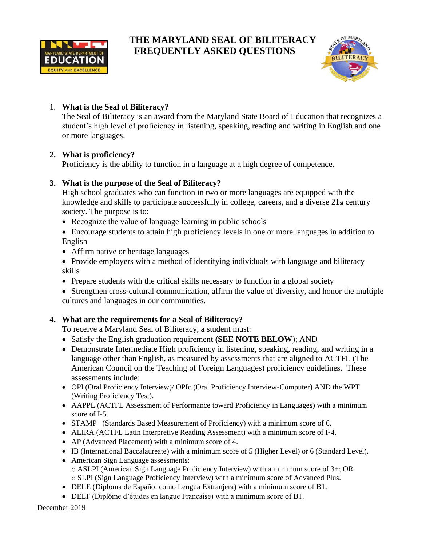

# **THE MARYLAND SEAL OF BILITERACY FREQUENTLY ASKED QUESTIONS**



# 1. **What is the Seal of Biliteracy?**

The Seal of Biliteracy is an award from the Maryland State Board of Education that recognizes a student's high level of proficiency in listening, speaking, reading and writing in English and one or more languages.

# **2. What is proficiency?**

Proficiency is the ability to function in a language at a high degree of competence.

# **3. What is the purpose of the Seal of Biliteracy?**

High school graduates who can function in two or more languages are equipped with the knowledge and skills to participate successfully in college, careers, and a diverse  $21<sub>st</sub>$  century society. The purpose is to:

- Recognize the value of language learning in public schools
- Encourage students to attain high proficiency levels in one or more languages in addition to English
- Affirm native or heritage languages
- Provide employers with a method of identifying individuals with language and biliteracy skills
- Prepare students with the critical skills necessary to function in a global society
- Strengthen cross-cultural communication, affirm the value of diversity, and honor the multiple cultures and languages in our communities.

# **4. What are the requirements for a Seal of Biliteracy?**

To receive a Maryland Seal of Biliteracy, a student must:

- Satisfy the English graduation requirement **(SEE NOTE BELOW**); AND
- Demonstrate Intermediate High proficiency in listening, speaking, reading, and writing in a language other than English, as measured by assessments that are aligned to ACTFL (The American Council on the Teaching of Foreign Languages) proficiency guidelines. These assessments include:
- OPI (Oral Proficiency Interview)/ OPIc (Oral Proficiency Interview-Computer) AND the WPT (Writing Proficiency Test).
- AAPPL (ACTFL Assessment of Performance toward Proficiency in Languages) with a minimum score of I-5.
- STAMP (Standards Based Measurement of Proficiency) with a minimum score of 6.
- ALIRA (ACTFL Latin Interpretive Reading Assessment) with a minimum score of I-4.
- AP (Advanced Placement) with a minimum score of 4.
- IB (International Baccalaureate) with a minimum score of 5 (Higher Level) or 6 (Standard Level).
- American Sign Language assessments: o ASLPI (American Sign Language Proficiency Interview) with a minimum score of 3+; OR o SLPI (Sign Language Proficiency Interview) with a minimum score of Advanced Plus.
- DELE (Diploma de Español como Lengua Extranjera) with a minimum score of B1.
- DELF (Diplôme d'études en langue Française) with a minimum score of B1.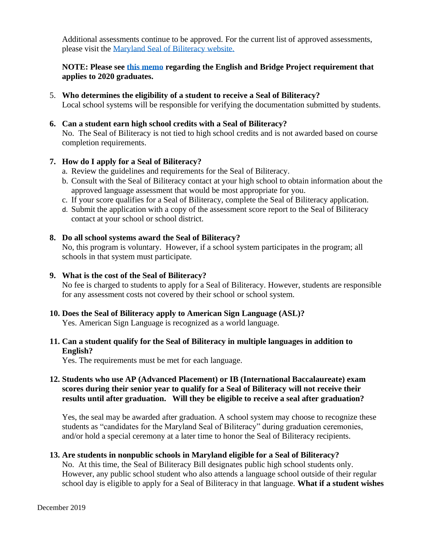Additional assessments continue to be approved. For the current list of approved assessments, please visit the [Maryland Seal of Biliteracy website.](http://marylandpublicschools.org/about/Pages/DCAA/World-Languages/Biliteracy/index.aspx)

# **NOTE: Please see [this memo](http://marylandpublicschools.org/about/Documents/DCAA/World-Languages/biliteracy/GuidanceAlgebraEnglishProjects2020Graduates.pdf) regarding the English and Bridge Project requirement that applies to 2020 graduates.**

5. **Who determines the eligibility of a student to receive a Seal of Biliteracy?** Local school systems will be responsible for verifying the documentation submitted by students.

#### **6. Can a student earn high school credits with a Seal of Biliteracy?**

No. The Seal of Biliteracy is not tied to high school credits and is not awarded based on course completion requirements.

## **7. How do I apply for a Seal of Biliteracy?**

- a. Review the guidelines and requirements for the Seal of Biliteracy.
- b. Consult with the Seal of Biliteracy contact at your high school to obtain information about the approved language assessment that would be most appropriate for you.
- c. If your score qualifies for a Seal of Biliteracy, complete the Seal of Biliteracy application.
- d. Submit the application with a copy of the assessment score report to the Seal of Biliteracy contact at your school or school district.

#### **8. Do all school systems award the Seal of Biliteracy?**

No, this program is voluntary. However, if a school system participates in the program; all schools in that system must participate.

#### **9. What is the cost of the Seal of Biliteracy?**

No fee is charged to students to apply for a Seal of Biliteracy. However, students are responsible for any assessment costs not covered by their school or school system.

# **10. Does the Seal of Biliteracy apply to American Sign Language (ASL)?**

Yes. American Sign Language is recognized as a world language.

## **11. Can a student qualify for the Seal of Biliteracy in multiple languages in addition to English?**

Yes. The requirements must be met for each language.

# **12. Students who use AP (Advanced Placement) or IB (International Baccalaureate) exam scores during their senior year to qualify for a Seal of Biliteracy will not receive their results until after graduation. Will they be eligible to receive a seal after graduation?**

Yes, the seal may be awarded after graduation. A school system may choose to recognize these students as "candidates for the Maryland Seal of Biliteracy" during graduation ceremonies, and/or hold a special ceremony at a later time to honor the Seal of Biliteracy recipients.

# **13. Are students in nonpublic schools in Maryland eligible for a Seal of Biliteracy?**

No. At this time, the Seal of Biliteracy Bill designates public high school students only. However, any public school student who also attends a language school outside of their regular school day is eligible to apply for a Seal of Biliteracy in that language. **What if a student wishes**